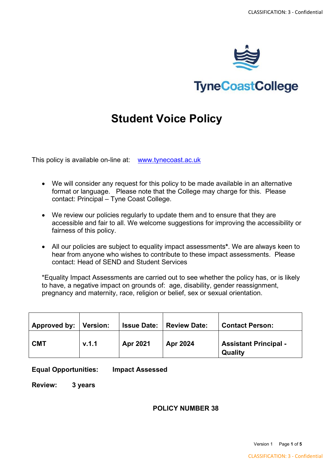

# **TyneCoastCollege**

# **Student Voice Policy**

This policy is available on-line at: [www.tynecoast.ac.uk](http://www.tynecoast.ac.uk/)

- We will consider any request for this policy to be made available in an alternative format or language. Please note that the College may charge for this. Please contact: Principal – Tyne Coast College.
- We review our policies regularly to update them and to ensure that they are accessible and fair to all. We welcome suggestions for improving the accessibility or fairness of this policy.
- All our policies are subject to equality impact assessments**\***. We are always keen to hear from anyone who wishes to contribute to these impact assessments. Please contact: Head of SEND and Student Services

\*Equality Impact Assessments are carried out to see whether the policy has, or is likely to have, a negative impact on grounds of: age, disability, gender reassignment, pregnancy and maternity, race, religion or belief, sex or sexual orientation.

| Approved by:   Version: |       |          | <b>Issue Date:   Review Date:</b> | <b>Contact Person:</b>                  |
|-------------------------|-------|----------|-----------------------------------|-----------------------------------------|
| <b>CMT</b>              | v.1.1 | Apr 2021 | <b>Apr 2024</b>                   | <b>Assistant Principal -</b><br>Quality |

#### **Equal Opportunities: Impact Assessed**

**Review: 3 years**

#### **POLICY NUMBER 38**

Version 1 Page **1** of **5**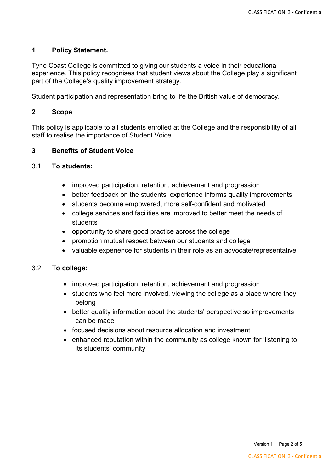# **1 Policy Statement.**

Tyne Coast College is committed to giving our students a voice in their educational experience. This policy recognises that student views about the College play a significant part of the College's quality improvement strategy.

Student participation and representation bring to life the British value of democracy.

# **2 Scope**

This policy is applicable to all students enrolled at the College and the responsibility of all staff to realise the importance of Student Voice.

## **3 Benefits of Student Voice**

## 3.1 **To students:**

- improved participation, retention, achievement and progression
- better feedback on the students' experience informs quality improvements
- students become empowered, more self-confident and motivated
- college services and facilities are improved to better meet the needs of students
- opportunity to share good practice across the college
- promotion mutual respect between our students and college
- valuable experience for students in their role as an advocate/representative

## 3.2 **To college:**

- improved participation, retention, achievement and progression
- students who feel more involved, viewing the college as a place where they belong
- better quality information about the students' perspective so improvements can be made
- focused decisions about resource allocation and investment
- enhanced reputation within the community as college known for 'listening to its students' community'

Version 1 Page **2** of **5**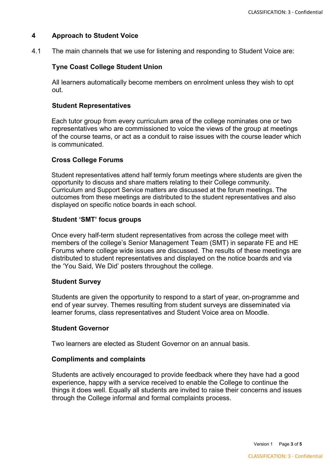## **4 Approach to Student Voice**

4.1 The main channels that we use for listening and responding to Student Voice are:

## **Tyne Coast College Student Union**

All learners automatically become members on enrolment unless they wish to opt out.

## **Student Representatives**

Each tutor group from every curriculum area of the college nominates one or two representatives who are commissioned to voice the views of the group at meetings of the course teams, or act as a conduit to raise issues with the course leader which is communicated.

## **Cross College Forums**

Student representatives attend half termly forum meetings where students are given the opportunity to discuss and share matters relating to their College community. Curriculum and Support Service matters are discussed at the forum meetings. The outcomes from these meetings are distributed to the student representatives and also displayed on specific notice boards in each school.

## **Student 'SMT' focus groups**

Once every half-term student representatives from across the college meet with members of the college's Senior Management Team (SMT) in separate FE and HE Forums where college wide issues are discussed. The results of these meetings are distributed to student representatives and displayed on the notice boards and via the 'You Said, We Did' posters throughout the college.

## **Student Survey**

Students are given the opportunity to respond to a start of year, on-programme and end of year survey. Themes resulting from student surveys are disseminated via learner forums, class representatives and Student Voice area on Moodle.

#### **Student Governor**

Two learners are elected as Student Governor on an annual basis.

#### **Compliments and complaints**

Students are actively encouraged to provide feedback where they have had a good experience, happy with a service received to enable the College to continue the things it does well. Equally all students are invited to raise their concerns and issues through the College informal and formal complaints process.

Version 1 Page **3** of **5**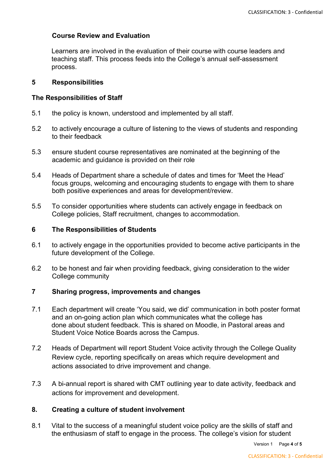## **Course Review and Evaluation**

Learners are involved in the evaluation of their course with course leaders and teaching staff. This process feeds into the College's annual self-assessment process.

## **5 Responsibilities**

## **The Responsibilities of Staff**

- 5.1 the policy is known, understood and implemented by all staff.
- 5.2 to actively encourage a culture of listening to the views of students and responding to their feedback
- 5.3 ensure student course representatives are nominated at the beginning of the academic and guidance is provided on their role
- 5.4 Heads of Department share a schedule of dates and times for 'Meet the Head' focus groups, welcoming and encouraging students to engage with them to share both positive experiences and areas for development/review.
- 5.5 To consider opportunities where students can actively engage in feedback on College policies, Staff recruitment, changes to accommodation.

## **6 The Responsibilities of Students**

- 6.1 to actively engage in the opportunities provided to become active participants in the future development of the College.
- 6.2 to be honest and fair when providing feedback, giving consideration to the wider College community

## **7 Sharing progress, improvements and changes**

- 7.1 Each department will create 'You said, we did' communication in both poster format and an on-going action plan which communicates what the college has done about student feedback. This is shared on Moodle, in Pastoral areas and Student Voice Notice Boards across the Campus.
- 7.2 Heads of Department will report Student Voice activity through the College Quality Review cycle, reporting specifically on areas which require development and actions associated to drive improvement and change.
- 7.3 A bi-annual report is shared with CMT outlining year to date activity, feedback and actions for improvement and development.

## **8. Creating a culture of student involvement**

8.1 Vital to the success of a meaningful student voice policy are the skills of staff and the enthusiasm of staff to engage in the process. The college's vision for student